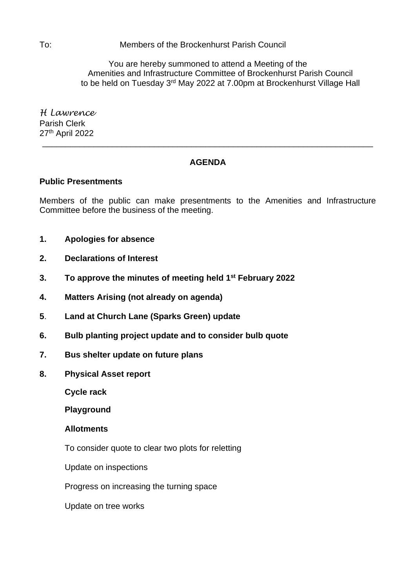To: Members of the Brockenhurst Parish Council

You are hereby summoned to attend a Meeting of the Amenities and Infrastructure Committee of Brockenhurst Parish Council to be held on Tuesday 3<sup>rd</sup> May 2022 at 7.00pm at Brockenhurst Village Hall

*H Lawrence* Parish Clerk 27<sup>th</sup> April 2022

# **AGENDA**

\_\_\_\_\_\_\_\_\_\_\_\_\_\_\_\_\_\_\_\_\_\_\_\_\_\_\_\_\_\_\_\_\_\_\_\_\_\_\_\_\_\_\_\_\_\_\_\_\_\_\_\_\_\_\_\_\_\_\_\_\_\_\_\_\_\_\_\_\_\_\_

## **Public Presentments**

Members of the public can make presentments to the Amenities and Infrastructure Committee before the business of the meeting.

- **1. Apologies for absence**
- **2. Declarations of Interest**
- **3. To approve the minutes of meeting held 1 st February 2022**
- **4. Matters Arising (not already on agenda)**
- **5**. **Land at Church Lane (Sparks Green) update**
- **6. Bulb planting project update and to consider bulb quote**
- **7. Bus shelter update on future plans**
- **8. Physical Asset report**

**Cycle rack**

**Playground**

#### **Allotments**

To consider quote to clear two plots for reletting

Update on inspections

Progress on increasing the turning space

Update on tree works